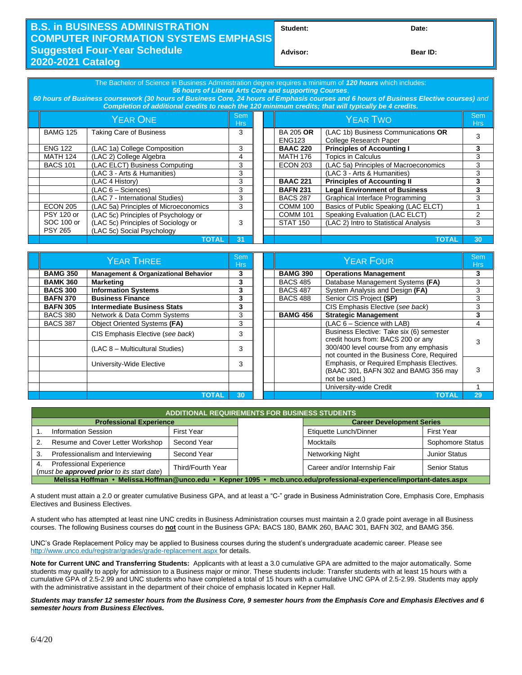## **B.S. in BUSINESS ADMINISTRATION COMPUTER INFORMATION SYSTEMS EMPHASIS Suggested Four-Year Schedule 2020-2021 Catalog**

**Student: Date:**

**Advisor: Bear ID:** 

| The Bachelor of Science in Business Administration degree requires a minimum of 120 hours which includes:<br>56 hours of Liberal Arts Core and supporting Courses.<br>60 hours of Business coursework (30 hours of Business Core, 24 hours of Emphasis courses and 6 hours of Business Elective courses) and<br>Completion of additional credits to reach the 120 minimum credits; that will typically be 4 credits. |                                                |    |  |  |                                   |                                                               |    |  |
|----------------------------------------------------------------------------------------------------------------------------------------------------------------------------------------------------------------------------------------------------------------------------------------------------------------------------------------------------------------------------------------------------------------------|------------------------------------------------|----|--|--|-----------------------------------|---------------------------------------------------------------|----|--|
| <b>YEAR ONE</b>                                                                                                                                                                                                                                                                                                                                                                                                      |                                                |    |  |  | <b>YEAR TWO</b>                   |                                                               |    |  |
| <b>BAMG 125</b>                                                                                                                                                                                                                                                                                                                                                                                                      | Taking Care of Business                        | 3  |  |  | <b>BA 205 OR</b><br><b>ENG123</b> | (LAC 1b) Business Communications OR<br>College Research Paper |    |  |
| <b>ENG 122</b>                                                                                                                                                                                                                                                                                                                                                                                                       | (LAC 1a) College Composition                   | 3  |  |  | <b>BAAC 220</b>                   | <b>Principles of Accounting I</b>                             | 3  |  |
| <b>MATH 124</b>                                                                                                                                                                                                                                                                                                                                                                                                      | (LAC 2) College Algebra                        | 4  |  |  | <b>MATH 176</b>                   | <b>Topics in Calculus</b>                                     | 3  |  |
| <b>BACS 101</b>                                                                                                                                                                                                                                                                                                                                                                                                      | (LAC ELCT) Business Computing                  | 3  |  |  | <b>ECON 203</b>                   | (LAC 5a) Principles of Macroeconomics                         |    |  |
|                                                                                                                                                                                                                                                                                                                                                                                                                      | (LAC 3 - Arts & Humanities)<br>(LAC 4 History) |    |  |  |                                   | (LAC 3 - Arts & Humanities)                                   | 3  |  |
|                                                                                                                                                                                                                                                                                                                                                                                                                      |                                                |    |  |  | <b>BAAC 221</b>                   | <b>Principles of Accounting II</b>                            | 3  |  |
|                                                                                                                                                                                                                                                                                                                                                                                                                      | $(LAC 6 - Sciences)$                           | 3  |  |  | <b>BAFN 231</b>                   | <b>Legal Environment of Business</b>                          | 3  |  |
|                                                                                                                                                                                                                                                                                                                                                                                                                      | (LAC 7 - International Studies)                | 3  |  |  | <b>BACS 287</b>                   | Graphical Interface Programming                               |    |  |
| <b>ECON 205</b>                                                                                                                                                                                                                                                                                                                                                                                                      | (LAC 5a) Principles of Microeconomics          | 3  |  |  | <b>COMM 100</b>                   | Basics of Public Speaking (LAC ELCT)                          |    |  |
| <b>PSY 120 or</b>                                                                                                                                                                                                                                                                                                                                                                                                    | (LAC 5c) Principles of Psychology or           |    |  |  | <b>COMM 101</b>                   | Speaking Evaluation (LAC ELCT)                                |    |  |
| SOC 100 or                                                                                                                                                                                                                                                                                                                                                                                                           | (LAC 5c) Principles of Sociology or            | 3  |  |  | <b>STAT 150</b>                   | (LAC 2) Intro to Statistical Analysis                         | 3  |  |
| <b>PSY 265</b>                                                                                                                                                                                                                                                                                                                                                                                                       | (LAC 5c) Social Psychology                     |    |  |  |                                   |                                                               |    |  |
|                                                                                                                                                                                                                                                                                                                                                                                                                      | <b>TOTAL</b>                                   | 31 |  |  |                                   | <b>TOTAL</b>                                                  | 30 |  |

| YEAR THREE      |                                                 |    |  |                                                 | Sem<br><b>Hrs</b>                                                                    |    |
|-----------------|-------------------------------------------------|----|--|-------------------------------------------------|--------------------------------------------------------------------------------------|----|
| <b>BAMG 350</b> | <b>Management &amp; Organizational Behavior</b> | 3  |  | <b>BAMG 390</b><br><b>Operations Management</b> |                                                                                      | 3  |
| <b>BAMK 360</b> | <b>Marketing</b>                                | 3  |  | <b>BACS 485</b>                                 | Database Management Systems (FA)                                                     | 3  |
| <b>BACS 300</b> | <b>Information Systems</b>                      | 3  |  | <b>BACS 487</b>                                 | System Analysis and Design (FA)                                                      | 3  |
| <b>BAFN 370</b> | <b>Business Finance</b>                         | 3  |  | <b>BACS 488</b>                                 | Senior CIS Project (SP)                                                              |    |
| <b>BAFN 305</b> | <b>Intermediate Business Stats</b>              | 3  |  |                                                 | CIS Emphasis Elective (see back)                                                     | 3  |
| <b>BACS 380</b> | Network & Data Comm Systems                     | 3  |  | <b>BAMG 456</b>                                 | <b>Strategic Management</b>                                                          |    |
| <b>BACS 387</b> | Object Oriented Systems (FA)                    | 3  |  |                                                 | (LAC 6 - Science with LAB)                                                           | 4  |
|                 | CIS Emphasis Elective (see back)                | 3  |  |                                                 | Business Elective: Take six (6) semester<br>credit hours from: BACS 200 or any       |    |
|                 | (LAC 8 - Multicultural Studies)                 | 3  |  |                                                 | 300/400 level course from any emphasis<br>not counted in the Business Core, Required |    |
|                 | University-Wide Elective                        | 3  |  |                                                 | Emphasis, or Required Emphasis Electives.<br>(BAAC 301, BAFN 302 and BAMG 356 may    |    |
|                 |                                                 |    |  |                                                 | not be used.)                                                                        |    |
|                 |                                                 |    |  |                                                 | University-wide Credit                                                               |    |
|                 | ΤΟΤΑΙ                                           | 30 |  |                                                 | <b>TOTAL</b>                                                                         | 29 |

| <b>ADDITIONAL REQUIREMENTS FOR BUSINESS STUDENTS.</b>                                                                |                   |  |                                  |                      |  |  |  |  |
|----------------------------------------------------------------------------------------------------------------------|-------------------|--|----------------------------------|----------------------|--|--|--|--|
| <b>Professional Experience</b>                                                                                       |                   |  | <b>Career Development Series</b> |                      |  |  |  |  |
| <b>Information Session</b>                                                                                           | <b>First Year</b> |  | Etiquette Lunch/Dinner           | <b>First Year</b>    |  |  |  |  |
| Resume and Cover Letter Workshop<br>Second Year                                                                      |                   |  | Mocktails                        | Sophomore Status     |  |  |  |  |
| Professionalism and Interviewing<br>Second Year                                                                      |                   |  | Networking Night                 | <b>Junior Status</b> |  |  |  |  |
| <b>Professional Experience</b><br>4.<br>(must be approved prior to its start date)                                   | Third/Fourth Year |  | Career and/or Internship Fair    | <b>Senior Status</b> |  |  |  |  |
| Melissa Hoffman • Melissa.Hoffman@unco.edu • Kepner 1095 • mcb.unco.edu/professional-experience/important-dates.aspx |                   |  |                                  |                      |  |  |  |  |

A student must attain a 2.0 or greater cumulative Business GPA, and at least a "C-" grade in Business Administration Core, Emphasis Core, Emphasis Electives and Business Electives.

A student who has attempted at least nine UNC credits in Business Administration courses must maintain a 2.0 grade point average in all Business courses. The following Business courses do **not** count in the Business GPA: BACS 180, BAMK 260, BAAC 301, BAFN 302, and BAMG 356.

UNC's Grade Replacement Policy may be applied to Business courses during the student's undergraduate academic career. Please see http://www.unco.edu/registrar/grades/grade-replacement.aspx for details.

**Note for Current UNC and Transferring Students:** Applicants with at least a 3.0 cumulative GPA are admitted to the major automatically. Some students may qualify to apply for admission to a Business major or minor. These students include: Transfer students with at least 15 hours with a cumulative GPA of 2.5-2.99 and UNC students who have completed a total of 15 hours with a cumulative UNC GPA of 2.5-2.99. Students may apply with the administrative assistant in the department of their choice of emphasis located in Kepner Hall.

## *Students may transfer 12 semester hours from the Business Core, 9 semester hours from the Emphasis Core and Emphasis Electives and 6 semester hours from Business Electives.*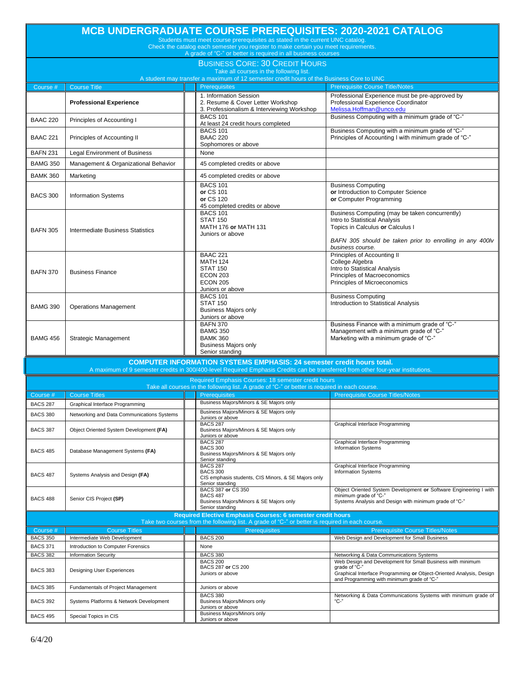| <b>MCB UNDERGRADUATE COURSE PREREQUISITES: 2020-2021 CATALOG</b><br>Students must meet course prerequisites as stated in the current UNC catalog.    |                                                      |                                                                                                  |                                                                                                                                                                                                                   |                                                                                                                                                                                                  |  |  |  |  |  |
|------------------------------------------------------------------------------------------------------------------------------------------------------|------------------------------------------------------|--------------------------------------------------------------------------------------------------|-------------------------------------------------------------------------------------------------------------------------------------------------------------------------------------------------------------------|--------------------------------------------------------------------------------------------------------------------------------------------------------------------------------------------------|--|--|--|--|--|
| Check the catalog each semester you register to make certain you meet requirements.<br>A grade of "C-" or better is required in all business courses |                                                      |                                                                                                  |                                                                                                                                                                                                                   |                                                                                                                                                                                                  |  |  |  |  |  |
| <b>BUSINESS CORE: 30 CREDIT HOURS</b><br>Take all courses in the following list.                                                                     |                                                      |                                                                                                  |                                                                                                                                                                                                                   |                                                                                                                                                                                                  |  |  |  |  |  |
|                                                                                                                                                      |                                                      |                                                                                                  | A student may transfer a maximum of 12 semester credit hours of the Business Core to UNC                                                                                                                          |                                                                                                                                                                                                  |  |  |  |  |  |
| Course #                                                                                                                                             | <b>Course Title</b>                                  |                                                                                                  | <b>Prerequisites</b>                                                                                                                                                                                              | <b>Prerequisite Course Title/Notes</b>                                                                                                                                                           |  |  |  |  |  |
|                                                                                                                                                      | <b>Professional Experience</b>                       |                                                                                                  | 1. Information Session<br>2. Resume & Cover Letter Workshop<br>3. Professionalism & Interviewing Workshop                                                                                                         | Professional Experience must be pre-approved by<br>Professional Experience Coordinator<br>Melissa.Hoffman@unco.edu                                                                               |  |  |  |  |  |
| <b>BAAC 220</b>                                                                                                                                      | Principles of Accounting I                           |                                                                                                  | <b>BACS 101</b><br>At least 24 credit hours completed                                                                                                                                                             | Business Computing with a minimum grade of "C-"                                                                                                                                                  |  |  |  |  |  |
| <b>BAAC 221</b>                                                                                                                                      | Principles of Accounting II                          |                                                                                                  | <b>BACS 101</b><br><b>BAAC 220</b><br>Sophomores or above                                                                                                                                                         | Business Computing with a minimum grade of "C-"<br>Principles of Accounting I with minimum grade of "C-"                                                                                         |  |  |  |  |  |
| <b>BAFN 231</b>                                                                                                                                      | <b>Legal Environment of Business</b>                 |                                                                                                  | None                                                                                                                                                                                                              |                                                                                                                                                                                                  |  |  |  |  |  |
| <b>BAMG 350</b>                                                                                                                                      | Management & Organizational Behavior                 |                                                                                                  | 45 completed credits or above                                                                                                                                                                                     |                                                                                                                                                                                                  |  |  |  |  |  |
| <b>BAMK 360</b>                                                                                                                                      | Marketing                                            |                                                                                                  | 45 completed credits or above                                                                                                                                                                                     |                                                                                                                                                                                                  |  |  |  |  |  |
| <b>BACS 300</b>                                                                                                                                      | <b>Information Systems</b>                           |                                                                                                  | <b>BACS 101</b><br>or CS 101<br>or CS 120<br>45 completed credits or above                                                                                                                                        | <b>Business Computing</b><br>or Introduction to Computer Science<br>or Computer Programming                                                                                                      |  |  |  |  |  |
| <b>BAFN 305</b>                                                                                                                                      | <b>Intermediate Business Statistics</b>              |                                                                                                  | <b>BACS 101</b><br><b>STAT 150</b><br>MATH 176 or MATH 131<br>Juniors or above                                                                                                                                    | Business Computing (may be taken concurrently)<br>Intro to Statistical Analysis<br>Topics in Calculus or Calculus I<br>BAFN 305 should be taken prior to enrolling in any 400lv                  |  |  |  |  |  |
| <b>BAFN 370</b>                                                                                                                                      | <b>Business Finance</b>                              |                                                                                                  | <b>BAAC 221</b><br><b>MATH 124</b><br><b>STAT 150</b><br><b>ECON 203</b><br><b>ECON 205</b><br>Juniors or above                                                                                                   | business course.<br>Principles of Accounting II<br>College Algebra<br>Intro to Statistical Analysis<br>Principles of Macroeconomics<br>Principles of Microeconomics                              |  |  |  |  |  |
| <b>BAMG 390</b>                                                                                                                                      | <b>Operations Management</b>                         |                                                                                                  | <b>BACS 101</b><br><b>STAT 150</b><br><b>Business Majors only</b><br>Juniors or above                                                                                                                             | <b>Business Computing</b><br>Introduction to Statistical Analysis                                                                                                                                |  |  |  |  |  |
| <b>BAMG 456</b>                                                                                                                                      | <b>Strategic Management</b>                          |                                                                                                  | <b>BAFN 370</b><br><b>BAMG 350</b><br><b>BAMK 360</b><br><b>Business Majors only</b><br>Senior standing                                                                                                           | Business Finance with a minimum grade of "C-"<br>Management with a minimum grade of "C-"<br>Marketing with a minimum grade of "C-"                                                               |  |  |  |  |  |
|                                                                                                                                                      |                                                      |                                                                                                  | <b>COMPUTER INFORMATION SYSTEMS EMPHASIS: 24 semester credit hours total.</b><br>A maximum of 9 semester credits in 300/400-level Required Emphasis Credits can be transferred from other four-year institutions. |                                                                                                                                                                                                  |  |  |  |  |  |
|                                                                                                                                                      |                                                      |                                                                                                  | Required Emphasis Courses: 18 semester credit hours                                                                                                                                                               |                                                                                                                                                                                                  |  |  |  |  |  |
|                                                                                                                                                      |                                                      |                                                                                                  | Take all courses in the following list. A grade of "C-" or better is required in each course.                                                                                                                     |                                                                                                                                                                                                  |  |  |  |  |  |
| Course #                                                                                                                                             | <b>Course Titles</b>                                 |                                                                                                  | <b>Prerequisites</b>                                                                                                                                                                                              | <b>Prerequisite Course Titles/Notes</b>                                                                                                                                                          |  |  |  |  |  |
| <b>BACS 287</b>                                                                                                                                      | Graphical Interface Programming                      |                                                                                                  | Business Majors/Minors & SE Majors only                                                                                                                                                                           |                                                                                                                                                                                                  |  |  |  |  |  |
| <b>BACS 380</b>                                                                                                                                      | Networking and Data Communications Systems           |                                                                                                  | Business Majors/Minors & SE Majors only<br>Juniors or above                                                                                                                                                       |                                                                                                                                                                                                  |  |  |  |  |  |
| <b>BACS 387</b>                                                                                                                                      | Object Oriented System Development (FA)              |                                                                                                  | <b>BACS 287</b><br>Business Majors/Minors & SE Majors only<br>Juniors or above                                                                                                                                    | Graphical Interface Programming                                                                                                                                                                  |  |  |  |  |  |
| <b>BACS 485</b>                                                                                                                                      | Database Management Systems (FA)                     | <b>BACS 287</b><br><b>BACS 300</b><br>Business Majors/Minors & SE Majors only<br>Senior standing |                                                                                                                                                                                                                   | Graphical Interface Programming<br><b>Information Systems</b>                                                                                                                                    |  |  |  |  |  |
| <b>BACS 487</b>                                                                                                                                      | Systems Analysis and Design (FA)                     |                                                                                                  | <b>BACS 287</b><br><b>BACS 300</b><br>CIS emphasis students, CIS Minors, & SE Majors only<br>Senior standing                                                                                                      | Graphical Interface Programming<br><b>Information Systems</b>                                                                                                                                    |  |  |  |  |  |
| <b>BACS 488</b>                                                                                                                                      | Senior CIS Project (SP)                              |                                                                                                  | BACS 387 or CS 350<br><b>BACS 487</b><br>Business Majors/Minors & SE Majors only<br>Senior standing                                                                                                               | Object Oriented System Development or Software Engineering I with<br>minimum grade of "C-"<br>Systems Analysis and Design with minimum grade of "C-"                                             |  |  |  |  |  |
| Required Elective Emphasis Courses: 6 semester credit hours                                                                                          |                                                      |                                                                                                  |                                                                                                                                                                                                                   |                                                                                                                                                                                                  |  |  |  |  |  |
|                                                                                                                                                      |                                                      |                                                                                                  | Take two courses from the following list. A grade of "C-" or better is required in each course.                                                                                                                   |                                                                                                                                                                                                  |  |  |  |  |  |
| Course #<br><b>BACS 350</b>                                                                                                                          | <b>Course Titles</b><br>Intermediate Web Development |                                                                                                  | <b>Prerequisites</b><br><b>BACS 200</b>                                                                                                                                                                           | <b>Prerequisite Course Titles/Notes</b><br>Web Design and Development for Small Business                                                                                                         |  |  |  |  |  |
| <b>BACS 371</b>                                                                                                                                      | Introduction to Computer Forensics                   |                                                                                                  | None                                                                                                                                                                                                              |                                                                                                                                                                                                  |  |  |  |  |  |
| <b>BACS 382</b>                                                                                                                                      | <b>Information Security</b>                          |                                                                                                  | <b>BACS 380</b>                                                                                                                                                                                                   | Networking & Data Communications Systems                                                                                                                                                         |  |  |  |  |  |
| <b>BACS 383</b>                                                                                                                                      | Designing User Experiences                           |                                                                                                  | <b>BACS 200</b><br>BACS 287 or CS 200<br>Juniors or above                                                                                                                                                         | Web Design and Development for Small Business with minimum<br>grade of "C-"<br>Graphical Interface Programming or Object-Oriented Analysis, Design<br>and Programming with minimum grade of "C-" |  |  |  |  |  |
| <b>BACS 385</b>                                                                                                                                      | Fundamentals of Project Management                   |                                                                                                  | Juniors or above                                                                                                                                                                                                  |                                                                                                                                                                                                  |  |  |  |  |  |
| <b>BACS 392</b>                                                                                                                                      | Systems Platforms & Network Development              |                                                                                                  | <b>BACS 380</b><br>Business Majors/Minors only<br>Juniors or above                                                                                                                                                | Networking & Data Communications Systems with minimum grade of<br>"С-"                                                                                                                           |  |  |  |  |  |
| <b>BACS 495</b>                                                                                                                                      | Special Topics in CIS                                |                                                                                                  | Business Majors/Minors only<br>Juniors or above                                                                                                                                                                   |                                                                                                                                                                                                  |  |  |  |  |  |